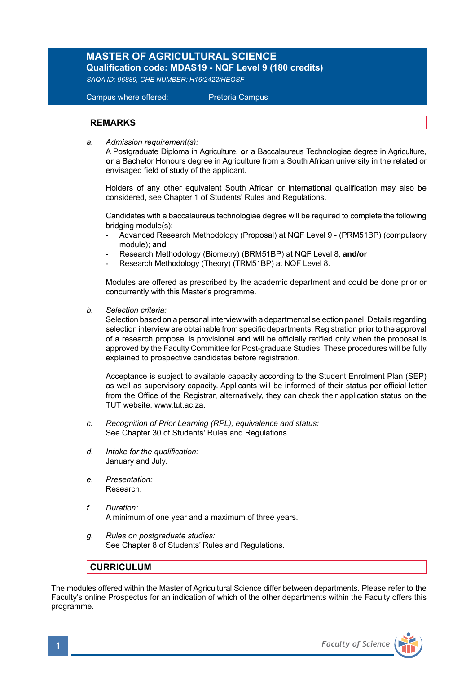## **MASTER OF AGRICULTURAL SCIENCE**

**Qualification code: MDAS19 - NQF Level 9 (180 credits)**  *SAQA ID: 96889, CHE NUMBER: H16/2422/HEQSF* 

Campus where offered: Pretoria Campus

## **REMARKS**

*a. Admission requirement(s):*

A Postgraduate Diploma in Agriculture, **or** a Baccalaureus Technologiae degree in Agriculture, **or** a Bachelor Honours degree in Agriculture from a South African university in the related or envisaged field of study of the applicant.

Holders of any other equivalent South African or international qualification may also be considered, see Chapter 1 of Students' Rules and Regulations.

 Candidates with a baccalaureus technologiae degree will be required to complete the following bridging module(s):

- Advanced Research Methodology (Proposal) at NQF Level 9 (PRM51BP) (compulsory module); **and**
- Research Methodology (Biometry) (BRM51BP) at NQF Level 8, **and/or**
- Research Methodology (Theory) (TRM51BP) at NQF Level 8.

Modules are offered as prescribed by the academic department and could be done prior or concurrently with this Master's programme.

*b. Selection criteria:*

Selection based on a personal interview with a departmental selection panel. Details regarding selection interview are obtainable from specific departments. Registration prior to the approval of a research proposal is provisional and will be officially ratified only when the proposal is approved by the Faculty Committee for Post-graduate Studies. These procedures will be fully explained to prospective candidates before registration.

Acceptance is subject to available capacity according to the Student Enrolment Plan (SEP) as well as supervisory capacity. Applicants will be informed of their status per official letter from the Office of the Registrar, alternatively, they can check their application status on the TUT website, www.tut.ac.za.

- *c. Recognition of Prior Learning (RPL), equivalence and status:* See Chapter 30 of Students' Rules and Regulations.
- *d. Intake for the qualification:* January and July.
- *e. Presentation:* Research.
- *f. Duration:*  A minimum of one year and a maximum of three years.
- *g. Rules on postgraduate studies:* See Chapter 8 of Students' Rules and Regulations.

## **CURRICULUM**

The modules offered within the Master of Agricultural Science differ between departments. Please refer to the Faculty's online Prospectus for an indication of which of the other departments within the Faculty offers this programme.